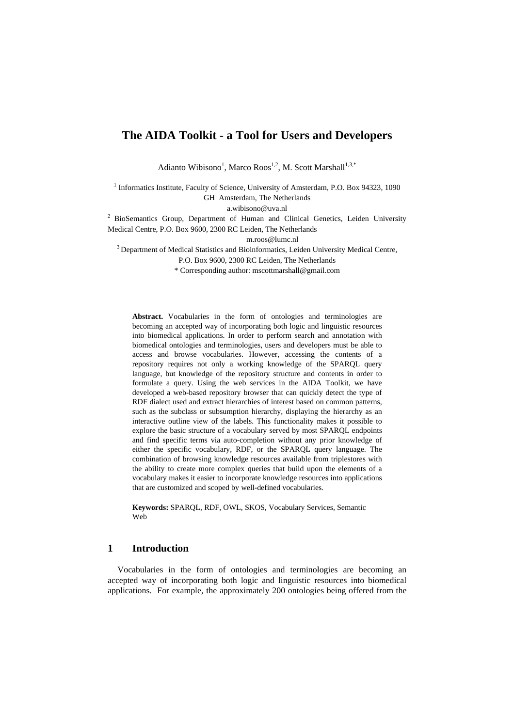# **The AIDA Toolkit - a Tool for Users and Developers**

Adianto Wibisono<sup>1</sup>, Marco Roos<sup>1,2</sup>, M. Scott Marshall<sup>1,3,\*</sup>

<sup>1</sup> Informatics Institute, Faculty of Science, University of Amsterdam, P.O. Box 94323, 1090 GH Amsterdam, The Netherlands

a.wibisono@uva.nl<br><sup>2</sup> BioSemantics Group, Department of Human and Clinical Genetics, Leiden University Medical Centre, P.O. Box 9600, 2300 RC Leiden, The Netherlands

m.roos@lumc.nl<br><sup>3</sup> Department of Medical Statistics and Bioinformatics, Leiden University Medical Centre, P.O. Box 9600, 2300 RC Leiden, The Netherlands

\* Corresponding author: mscottmarshall@gmail.com

**Abstract.** Vocabularies in the form of ontologies and terminologies are becoming an accepted way of incorporating both logic and linguistic resources into biomedical applications. In order to perform search and annotation with biomedical ontologies and terminologies, users and developers must be able to access and browse vocabularies. However, accessing the contents of a repository requires not only a working knowledge of the SPARQL query language, but knowledge of the repository structure and contents in order to formulate a query. Using the web services in the AIDA Toolkit, we have developed a web-based repository browser that can quickly detect the type of RDF dialect used and extract hierarchies of interest based on common patterns, such as the subclass or subsumption hierarchy, displaying the hierarchy as an interactive outline view of the labels. This functionality makes it possible to explore the basic structure of a vocabulary served by most SPARQL endpoints and find specific terms via auto-completion without any prior knowledge of either the specific vocabulary, RDF, or the SPARQL query language. The combination of browsing knowledge resources available from triplestores with the ability to create more complex queries that build upon the elements of a vocabulary makes it easier to incorporate knowledge resources into applications that are customized and scoped by well-defined vocabularies.

**Keywords:** SPARQL, RDF, OWL, SKOS, Vocabulary Services, Semantic Web

### **1 Introduction**

Vocabularies in the form of ontologies and terminologies are becoming an accepted way of incorporating both logic and linguistic resources into biomedical applications. For example, the approximately 200 ontologies being offered from the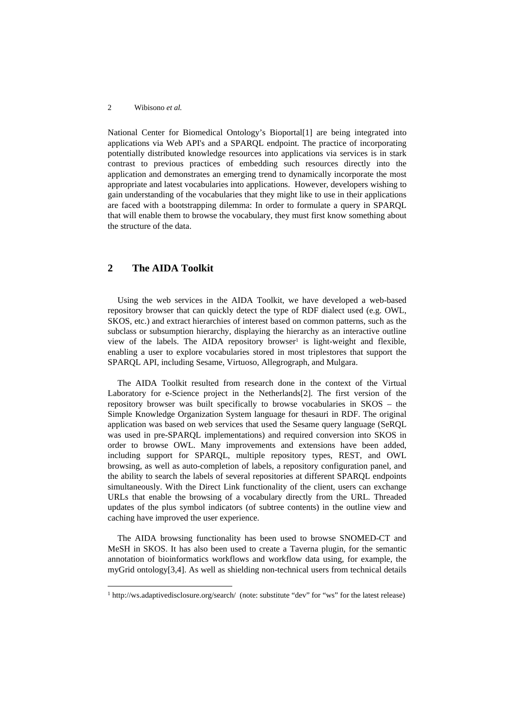#### 2 Wibisono *et al.*

National Center for Biomedical Ontology's Bioportal<sup>[1]</sup> are being integrated into applications via Web API's and a SPARQL endpoint. The practice of incorporating potentially distributed knowledge resources into applications via services is in stark contrast to previous practices of embedding such resources directly into the application and demonstrates an emerging trend to dynamically incorporate the most appropriate and latest vocabularies into applications. However, developers wishing to gain understanding of the vocabularies that they might like to use in their applications are faced with a bootstrapping dilemma: In order to formulate a query in SPARQL that will enable them to browse the vocabulary, they must first know something about the structure of the data.

## **2 The AIDA Toolkit**

l

Using the web services in the AIDA Toolkit, we have developed a web-based repository browser that can quickly detect the type of RDF dialect used (e.g. OWL, SKOS, etc.) and extract hierarchies of interest based on common patterns, such as the subclass or subsumption hierarchy, displaying the hierarchy as an interactive outline view of the labels. The AIDA repository browser<sup>1</sup> is light-weight and flexible, enabling a user to explore vocabularies stored in most triplestores that support the SPARQL API, including Sesame, Virtuoso, Allegrograph, and Mulgara.

The AIDA Toolkit resulted from research done in the context of the Virtual Laboratory for e-Science project in the Netherlands[2]. The first version of the repository browser was built specifically to browse vocabularies in SKOS – the Simple Knowledge Organization System language for thesauri in RDF. The original application was based on web services that used the Sesame query language (SeRQL was used in pre-SPARQL implementations) and required conversion into SKOS in order to browse OWL. Many improvements and extensions have been added, including support for SPARQL, multiple repository types, REST, and OWL browsing, as well as auto-completion of labels, a repository configuration panel, and the ability to search the labels of several repositories at different SPARQL endpoints simultaneously. With the Direct Link functionality of the client, users can exchange URLs that enable the browsing of a vocabulary directly from the URL. Threaded updates of the plus symbol indicators (of subtree contents) in the outline view and caching have improved the user experience.

The AIDA browsing functionality has been used to browse SNOMED-CT and MeSH in SKOS. It has also been used to create a Taverna plugin, for the semantic annotation of bioinformatics workflows and workflow data using, for example, the myGrid ontology[3,4]. As well as shielding non-technical users from technical details

<sup>&</sup>lt;sup>1</sup> http://ws.adaptivedisclosure.org/search/ (note: substitute "dev" for "ws" for the latest release)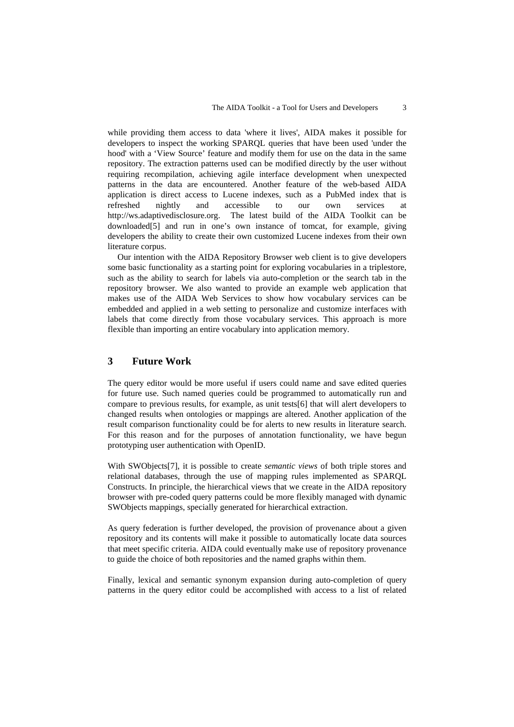while providing them access to data 'where it lives', AIDA makes it possible for developers to inspect the working SPARQL queries that have been used 'under the hood' with a 'View Source' feature and modify them for use on the data in the same repository. The extraction patterns used can be modified directly by the user without requiring recompilation, achieving agile interface development when unexpected patterns in the data are encountered. Another feature of the web-based AIDA application is direct access to Lucene indexes, such as a PubMed index that is refreshed nightly and accessible to our own services at http://ws.adaptivedisclosure.org. The latest build of the AIDA Toolkit can be downloaded[5] and run in one's own instance of tomcat, for example, giving developers the ability to create their own customized Lucene indexes from their own literature corpus.

Our intention with the AIDA Repository Browser web client is to give developers some basic functionality as a starting point for exploring vocabularies in a triplestore, such as the ability to search for labels via auto-completion or the search tab in the repository browser. We also wanted to provide an example web application that makes use of the AIDA Web Services to show how vocabulary services can be embedded and applied in a web setting to personalize and customize interfaces with labels that come directly from those vocabulary services. This approach is more flexible than importing an entire vocabulary into application memory.

### **3 Future Work**

The query editor would be more useful if users could name and save edited queries for future use. Such named queries could be programmed to automatically run and compare to previous results, for example, as unit tests[6] that will alert developers to changed results when ontologies or mappings are altered. Another application of the result comparison functionality could be for alerts to new results in literature search. For this reason and for the purposes of annotation functionality, we have begun prototyping user authentication with OpenID.

With SWObjects[7], it is possible to create *semantic views* of both triple stores and relational databases*,* through the use of mapping rules implemented as SPARQL Constructs. In principle, the hierarchical views that we create in the AIDA repository browser with pre-coded query patterns could be more flexibly managed with dynamic SWObjects mappings, specially generated for hierarchical extraction.

As query federation is further developed, the provision of provenance about a given repository and its contents will make it possible to automatically locate data sources that meet specific criteria. AIDA could eventually make use of repository provenance to guide the choice of both repositories and the named graphs within them.

Finally, lexical and semantic synonym expansion during auto-completion of query patterns in the query editor could be accomplished with access to a list of related